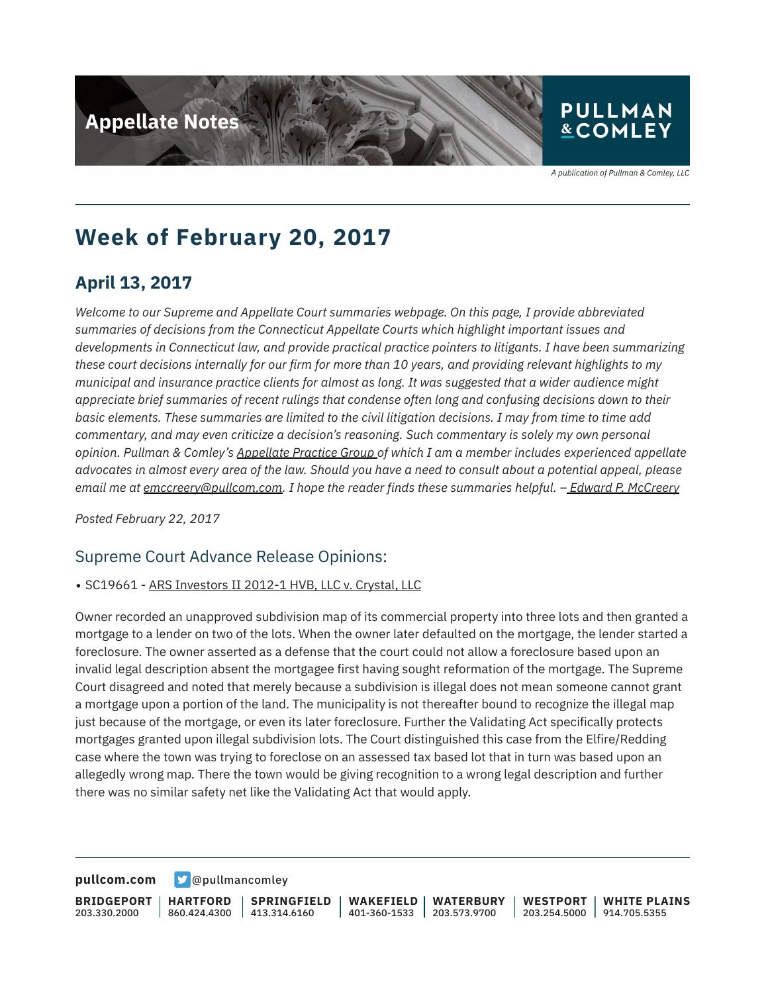

## **PULLMAN &COMLEY**

A publication of Pullman & Comley, LLC

# **Week of February 20, 2017**

## **April 13, 2017**

*Welcome to our Supreme and Appellate Court summaries webpage. On this page, I provide abbreviated summaries of decisions from the Connecticut Appellate Courts which highlight important issues and developments in Connecticut law, and provide practical practice pointers to litigants. I have been summarizing these court decisions internally for our firm for more than 10 years, and providing relevant highlights to my municipal and insurance practice clients for almost as long. It was suggested that a wider audience might appreciate brief summaries of recent rulings that condense often long and confusing decisions down to their basic elements. These summaries are limited to the civil litigation decisions. I may from time to time add commentary, and may even criticize a decision's reasoning. Such commentary is solely my own personal opinion. Pullman & Comley's Appellate Practice Group of which I am a member includes experienced appellate advocates in almost every area of the law. Should you have a need to consult about a potential appeal, please email me at emccreery@pullcom.com. I hope the reader finds these summaries helpful. – Edward P. McCreery*

*Posted February 22, 2017*

### Supreme Court Advance Release Opinions:

#### • SC19661 - ARS Investors II 2012-1 HVB, LLC v. Crystal, LLC

Owner recorded an unapproved subdivision map of its commercial property into three lots and then granted a mortgage to a lender on two of the lots. When the owner later defaulted on the mortgage, the lender started a foreclosure. The owner asserted as a defense that the court could not allow a foreclosure based upon an invalid legal description absent the mortgagee first having sought reformation of the mortgage. The Supreme Court disagreed and noted that merely because a subdivision is illegal does not mean someone cannot grant a mortgage upon a portion of the land. The municipality is not thereafter bound to recognize the illegal map just because of the mortgage, or even its later foreclosure. Further the Validating Act specifically protects mortgages granted upon illegal subdivision lots. The Court distinguished this case from the Elfire/Redding case where the town was trying to foreclose on an assessed tax based lot that in turn was based upon an allegedly wrong map. There the town would be giving recognition to a wrong legal description and further there was no similar safety net like the Validating Act that would apply.

**[pullcom.com](https://www.pullcom.com) g** [@pullmancomley](https://twitter.com/PullmanComley)

**BRIDGEPORT** 203.330.2000 **HARTFORD** 860.424.4300 **SPRINGFIELD**  $1413.314.6160$ **WAKEFIELD** 401-360-1533 203.573.9700 **WATERBURY WESTPORT** 203.254.5000 914.705.5355 **WHITE PLAINS**